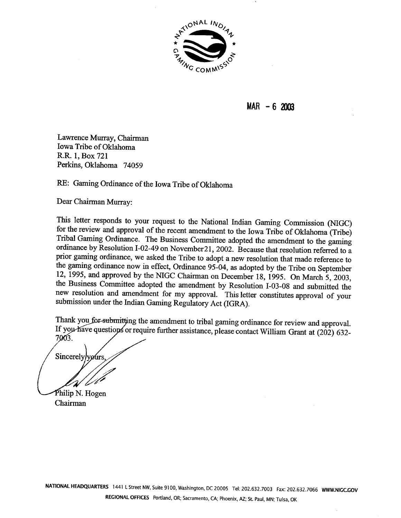

**MAR** - **6 <sup>2003</sup>**

Lawrence Murray, Chairman Iowa Tribe of Oklahoma R.R. 1, Box 721 Perkins, Oklahoma 74059

RE: Gaming Ordinance of the Iowa Tribe of Oklahoma

Dear Chairman Murray:

This letter responds to your request to the National Indian Gaming Commission *(NIGC)* for the review and approval of the recent amendment to the Iowa Tribe of Oklahoma (Tribe) Tribal Gaming Ordinance. The Business Committee adopted the amendment to the gaming ordinance by Resolution 1-02-49 on November21,2002. Because that resolution referred to a prior gaming ordinance, we asked the Tribe to adopt a new resolution that made reference to the gaming ordinance now in effect, Ordinance 95-04, as adopted by the Tribe on September 12, 1995, and approved by the **NIGC** Chairman on December 18, 1995. On March 5,2003, the Business Committee adopted the amendment by Resolution 1-03-08 and submitted the new resolution and amendment for my approval. This letter constitutes approval of your submission under the Indian Gaming Regulatory Act (IGRA).

Thank you for submitting the amendment to tribal gaming ordinance for review and approval. If you have questions or require further assistance, please contact William Grant at (202) 632-7003.

Sincerely/yours

Philip N. Hogen Chairman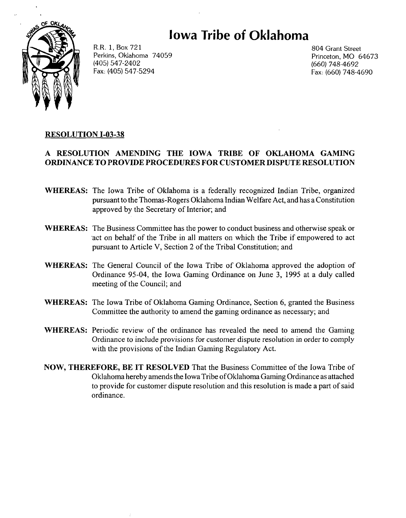# **Iowa Tribe Oklahoma**



R.R. 1, Box 721 Perkins, Oklahoma 74059 (405) 547-2402 Fax: (405) 547-5294

804 Grant Street Princeton, MO 64673 (660) 748-4692 Fax: (660) 748-4690

## **RESOLUTION 1-03-38**

### **A RESOLUTION AMENDING THE IOWA TRIBE OF OKLAHOMA GAMING ORDINANCE TO PROVIDE PROCEDURES FOR CUSTOMER DISPUTE RESOLUTION**

- **WHEREAS:** The Iowa Tribe of Oklahoma is a federally recognized Indian Tribe, organized pursuant to the Thomas-Rogers Oklahoma Indian Welfare Act, and has a Constitution approved by the Secretary of Interior; and
- **WHEREAS:** The Business Committee has the power to conduct business and otherwise speak or .act on behalf of the Tribe in all matters on which the Tribe if empowered to act pursuant to Article V, Section 2 of the Tribal Constitution; and
- **WHEREAS:** The General Council of the Iowa Tribe of Oklahoma approved the adoption of Ordinance 95-04, the Iowa Gaming Ordinance on June 3, 1995 at a duly called meeting of the Council; and
- **WHEREAS:** The Iowa Tribe of Oklahoma Gaming Ordinance, Section 6, granted the Business Committee the authority to amend the gaming ordinance as necessary; and
- **WHEREAS:** Periodic review of the ordinance has revealed the need to amend the Gaming Ordinance to include provisions for customer dispute resolution in order to comply with the provisions of the Indian Gaming Regulatory Act.
- **NOW, THEREFORE, BE IT RESOLVED** That the Business Committee of the Iowa Tribe of Oklahoma hereby amends the Iowa Tribe of Oklahoma Gaming Ordinance as attached to provide for customer dispute resolution and this resolution is made a part of said ordinance.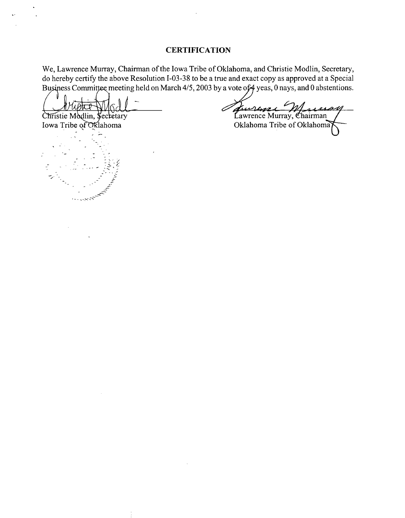#### **CERTIFICATION**

We, Lawrence Murray, Chairman of the Iowa Tribe of Oklahoma, and Christie Modlin, Secretary, do hereby certify the above Resolution 1-03-38 to be a true and exact copy as approved at a Special Business Committee meeting held on March  $4/5$ , 2003 by a vote of  $4$  yeas, 0 nays, and 0 abstentions.

 $\partial \overline{h\mathcal{D}}$ Christie Modlin, Secretary

Iowa Tribe of Oklahoma

Jurreye Marsen non

Oklahoma Tribe of Oklahoma